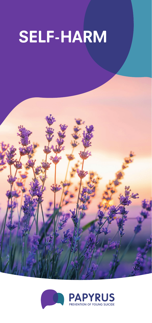# **SELF-HARM**



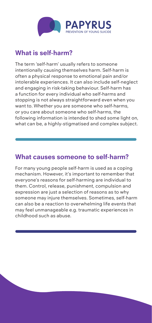

## **What is self-harm?**

The term 'self-harm' usually refers to someone intentionally causing themselves harm. Self-harm is often a physical response to emotional pain and/or intolerable experiences. It can also include self-neglect and engaging in risk-taking behaviour. Self-harm has a function for every individual who self-harms and stopping is not always straightforward even when you want to. Whether you are someone who self-harms, or you care about someone who self-harms, the following information is intended to shed some light on, what can be, a highly-stigmatised and complex subject.

#### **What causes someone to self-harm?**

For many young people self-harm is used as a coping mechanism. However, it's important to remember that everyone's reasons for self-harming are individual to them. Control, release, punishment, compulsion and expression are just a selection of reasons as to why someone may injure themselves. Sometimes, self-harm can also be a reaction to overwhelming life events that may feel unmanageable e.g. traumatic experiences in childhood such as abuse.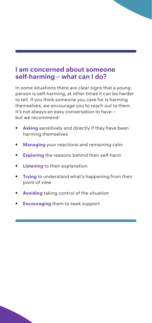#### **I am concerned about someone self-harming – what can I do?**

In some situations there are clear signs that a young person is self-harming, at other times it can be harder to tell. If you think someone you care for is harming themselves, we encourage you to reach out to them. It's not always an easy conversation to have – but we recommend:

- **Asking** sensitively and directly if they have been harming themselves
- **Managing** your reactions and remaining calm
- **Exploring** the reasons behind their self-harm
- **Listening** to their explanation
- **Trying** to understand what's happening from their point of view
- **Avoiding** taking control of the situation
- **Encouraging** them to seek support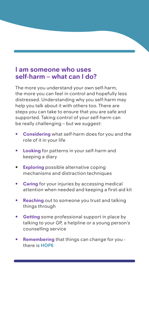#### **I am someone who uses self-harm – what can I do?**

The more you understand your own self-harm, the more you can feel in control and hopefully less distressed. Understanding why you self-harm may help you talk about it with others too. There are steps you can take to ensure that you are safe and supported. Taking control of your self-harm can be really challenging – but we suggest:

- **Considering** what self-harm does for you and the role of it in your life
- **Looking** for patterns in your self-harm and keeping a diary
- • **Exploring** possible alternative coping mechanisms and distraction techniques
- **Caring** for your injuries by accessing medical attention when needed and keeping a first-aid kit
- **Reaching** out to someone you trust and talking things through
- **Getting** some professional support in place by talking to your GP, a helpline or a young person's counselling service
- **Remembering** that things can change for you there is **HOPE**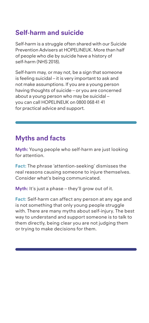# **Self-harm and suicide**

Self-harm is a struggle often shared with our Suicide Prevention Advisers at HOPELINEUK. More than half of people who die by suicide have a history of self-harm (NHS 2018).

Self-harm may, or may not, be a sign that someone is feeling suicidal – it is very important to ask and not make assumptions. If you are a young person having thoughts of suicide – or you are concerned about a young person who may be suicidal – you can call HOPELINEUK on 0800 068 41 41 for practical advice and support.

# **Myths and facts**

**Myth:** Young people who self-harm are just looking for attention.

**Fact:** The phrase 'attention-seeking' dismisses the real reasons causing someone to injure themselves. Consider what's being communicated.

**Myth:** It's just a phase – they'll grow out of it.

**Fact:** Self-harm can affect any person at any age and is not something that only young people struggle with. There are many myths about self-injury. The best way to understand and support someone is to talk to them directly, being clear you are not judging them or trying to make decisions for them.